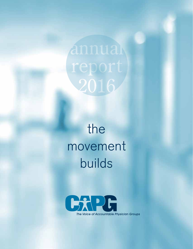2016

# the movement builds

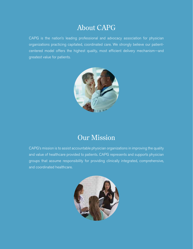## About CAPG

CAPG is the nation's leading professional and advocacy association for physician organizations practicing capitated, coordinated care. We strongly believe our patientcentered model offers the highest quality, most efficient delivery mechanism—and greatest value for patients.



## Our Mission

CAPG's mission is to assist accountable physician organizations in improving the quality and value of healthcare provided to patients. CAPG represents and supports physician groups that assume responsibility for providing clinically integrated, comprehensive, and coordinated healthcare.

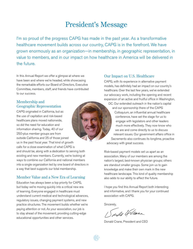## President's Message

I'm so proud of the progress CAPG has made in the past year. As a transformative healthcare movement builds across our country, CAPG is in the forefront. We have grown enormously as an organization—in membership, in geographic representation, in value to members, and in our impact on how healthcare in America will be delivered in the future.

In this Annual Report we offer a glimpse at where we have been and where we're headed, while showcasing the remarkable efforts our Board of Directors, Executive Committee, members, staff, and friends have contributed to our success.

### Membership and Geographic Representation

CAPG originated in California, but as the use of capitation and risk-based healthcare plans moved nationwide, so did the need for education and information sharing. Today, 40 of our 250-plus member groups are from outside California and 25 of those joined us in the past fiscal year. That kind of growth calls for a close examination of what CAPG is and should be, along with a dedication to serving both existing and new members. Currently, we're looking at ways to combine our California and national members into a single organization led by one board of directors in a way that best supports our total membership.

### Member Value and a New Era of Learning

Education has always been a top priority for CAPG, but today we're moving quickly into a critical new era of learning. Everyone engaged in healthcare must understand current medical and technological advances, regulatory issues, changing payment systems, and new practice structures. The movement builds whether we're paying attention or not. As your association, our job is to stay ahead of the movement, providing cutting-edge educational opportunities and other services.

### Our Impact on U.S. Healthcare

CAPG, with its experience in alternative payment models, has definitely had an impact on our country's healthcare. Over the last few years, we've extended our advocacy work, including the opening and recent expansion of an active and fruitful office in Washington,

DC. Our extended outreach in the nation's capital and our sponsorship there of the CAPG

Colloquium, an influential annual healthcare conference, have set the stage for us to engage with legislators and other leaders much more effectively. They now know who we are and come directly to us to discuss relevant issues. Our government affairs office in Sacramento also continues its longtime, proactive advocacy with great success.

Risk-based payment models set us apart as an association. Many of our members are among the nation's largest, best-known physician groups; others are standout smaller groups. Some join us to gain knowledge and make their own mark in the new healthcare landscape. This kind of quality membership also adds to our ability to affect the future.

I hope you find this Annual Report both interesting and informative, and I thank you for your continued association with CAPG.

Sincerely,

mile Wellane

Donald Crane, President and CEO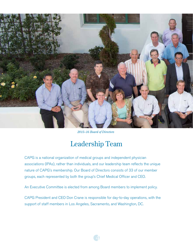

*2015–16 Board of Directors*

## Leadership Team

CAPG is a national organization of medical groups and independent physician associations (IPAs), rather than individuals, and our leadership team reflects the unique nature of CAPG's membership. Our Board of Directors consists of 33 of our member groups, each represented by both the group's Chief Medical Officer and CEO.

An Executive Committee is elected from among Board members to implement policy.

CAPG President and CEO Don Crane is responsible for day-to-day operations, with the support of staff members in Los Angeles, Sacramento, and Washington, DC.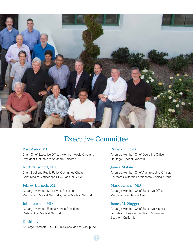

## **Executive Committee**

### Bart Asner, MD

Chair; Chief Executive Officer, Monarch HealthCare and President, OptumCare Southern California

### Kurt Ransohoff, MD

Chair-Elect and Public Policy Committee Chair; Chief Medical Officer and CEO, Sansum Clinic

### Jeffrey Burnich, MD

At-Large Member; Senior Vice President, Medical and Market Networks, Sutter Medical Network

### John Jenrette, MD

At-Large Member; Executive Vice President, Cedars-Sinai Medical Network

### David Joyner

At-Large Member; CEO, Hill Physicians Medical Group, Inc.

### Richard Lipeles

At-Large Member; Chief Operating Officer, Heritage Provider Network

### James Malone

At-Large Member; Chief Administrative Officer, Southern California Permanente Medical Group

### Mark Schafer, MD

At-Large Member; Chief Executive Officer, MemorialCare Medical Group

### James M. Slaggert

At-Large Member; Chief Executive Medical Foundation, Providence Health & Services, Southern California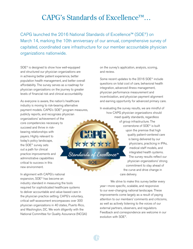## CAPG's Standards of Excellence™...

CAPG launched the 2016 National Standards of Excellence™ (SOE®) on March 14, marking the 10th anniversary of our annual, comprehensive survey of capitated, coordinated care infrastructure for our member accountable physician organizations nationwide.

SOE® is designed to show how well-equipped and structured our physician organizations are in achieving better patient experience, better population health management, and better overall affordability. The survey serves as a roadmap for physician organizations on the journey to greater levels of financial risk and clinical accountability.

As everyone is aware, the nation's healthcare industry is moving to risk-bearing alternative payment models. CAPG's SOE® program measures, publicly reports, and recognizes physician organizations' achievement of the core competencies necessary to succeed and thrive in riskbearing relationships with City Pt payers. Highly relevant to today's policy landscape, メメ オオオ the SOE® survey sets out a path for clinical Standards of Excellence<sup>"</sup> practice improvements and administrative capabilities critical to success in this new environment.

In alignment with CAPG's national expansion, SOE® has become an industry standard in measuring the tools required for sophisticated healthcare systems to deliver accountable and value-based care in the physician practice setting. CAPG's voluntary, critical self-assessment encompasses over 300 physician organizations in 40 states, Puerto Rico, and Washington, DC. We work diligently with the National Committee for Quality Assurance (NCQA) on the survey's application, analysis, scoring, and review.

Some recent updates to the 2016 SOE® include questions on total cost of care, behavioral health integration, advanced illness management, physician performance measurement and incentivization, and physician payment alignment and earning opportunity for advanced primary care.

In evaluating the survey results, we are mindful of how CAPG physician organizations should meet quality standards, regardless of group infrastructure. The cornerstone of SOE® is built upon the premise that high quality patient-centered care is being delivered by our physicians, practicing in IPAs, medical staff models, and integrated health systems. The survey results reflect our physician organizations' strong commitment to stay ahead of the curve and drive change in care delivery.

We strive to make this survey better every year—more specific, scalable, and responsive to our ever-changing national landscape. These improvements come largely as a result of paying attention to our members' comments and criticisms, as well as actively listening to the voices of our external partners, observers, and regulators. Feedback and correspondence are welcome in our evolution with SOE®.

**SOE**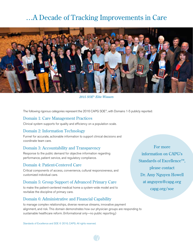## …A Decade of Tracking Improvements in Care



*2015 SOE® Elite Winners*

The following rigorous categories represent the 2016 CAPG SOE®, with Domains 1-5 publicly reported:

### Domain 1: Care Management Practices

Clinical system supports for quality and efficiency on a population scale.

### Domain 2: Information Technology

Funnel for accurate, actionable information to support clinical decisions and coordinate team care.

### Domain 3: Accountability and Transparency

Response to the public demand for objective information regarding performance, patient service, and regulatory compliance.

### Domain 4: Patient-Centered Care

Critical components of access, convenience, cultural responsiveness, and customized individual care.

### Domain 5: Group Support of Advanced Primary Care

to make the patient-centered medical home a system-wide model and to revitalize the discipline of primary care.

### Domain 6: Administrative and Financial Capability

to manage complex relationships, diverse revenue streams, innovative payment alignment, and risk. This domain demonstrates how our physician groups are responding to sustainable healthcare reform. (Informational only—no public reporting.)

Standards of Excellence and SOE © 2016, CAPG. All rights reserved.

For more information on CAPG's Standards of Excellence<sup>™</sup>. please contact Dr. Amy Nguyen Howell at anguyen@capg.org capg.org/soe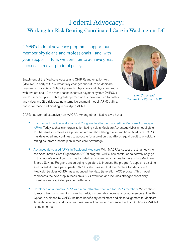# Federal Advocacy:

### Working for Risk-Bearing Coordinated Care in Washington, DC

CAPG's federal advocacy programs support our member physicians and professionals—and, with your support in turn, we continue to achieve great success in moving federal policy.

Enactment of the Medicare Access and CHIP Reauthorization Act (MACRA) in early 2015 substantially changed the future of Medicare payment to physicians. MACRA presents physicians and physician groups with two options: 1) the merit-based incentive payment system (MIPS), a fee-for-service option with a greater percentage of payment tied to quality and value; and 2) a risk-bearing alternative payment model (APM) path, a bonus for those participating in qualifying APMs.



*Don Crane and Senator Ron Wyden, D-OR*

CAPG has worked extensively on MACRA. Among other initiatives, we have:

- **•** Encouraged the Administration and Congress to afford equal credit to Medicare Advantage APMs. Today, a physician organization taking risk in Medicare Advantage (MA) is not eligible for the same incentives as a physician organization taking risk in traditional Medicare. CAPG has developed and continues to advocate for a solution that affords equal credit to physicians taking risk from a health plan in Medicare Advantage.
- **•** Advanced risk-based APMs in Traditional Medicare. With MACRA's success resting heavily on the Accountable Care Organization (ACO) program, CAPG has continued to actively engage in this model's evolution. This has included recommending changes to the existing Medicare Shared Savings Program, encouraging regulators to increase the program's appeal to existing and potential future participants. CAPG is also pleased that the Centers for Medicare & Medicaid Services (CMS) has announced the Next Generation ACO program. This model represents the next step in Medicare's ACO evolution and includes stronger beneficiary incentives and capitated payment offerings.
- **•** Developed an alternative APM with more attractive features for CAPG members. We continue to recognize that something more than ACOs is probably necessary for our members. The Third Option, developed by CAPG, includes beneficiary enrollment and closer alignment to Medicare Advantage, among additional features. We will continue to advance the Third Option as MACRA is implemented.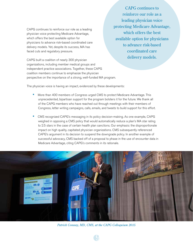CAPG continues to reinforce our role as a leading physician voice protecting Medicare Advantage, which offers the best available option for physicians to advance risk-based coordinated care delivery models. Yet, despite its success, MA has faced cuts and regulatory pressure.

CAPG continues to reinforce our role as a leading physician voice protecting Medicare Advantage, which offers the best available option for physicians to advance risk-based coordinated care delivery models.

CAPG built a coalition of nearly 300 physician organizations, including member medical groups and independent practice associations. Together, these CAPG coalition members continue to emphasize the physician perspective on the importance of a strong, well-funded MA program.

The physician voice is having an impact, evidenced by these developments:

- **•** More than 400 members of Congress urged CMS to protect Medicare Advantage. This unprecedented, bipartisan support for the program bolsters it for the future. We thank all of the CAPG members who have reached out through meetings with their members of Congress, letter writing campaigns, calls, emails, and tweets to build support for this effort.
- **•** CMS recognized CAPG's messaging in its policy decision-making. As one example, CAPG weighed in opposing a CMS policy that would automatically reduce a plan's MA star rating to 2.5 stars in the case of certain health plan sanctions. Our emphasis: the disproportionate impact on high quality, capitated physician organizations. CMS subsequently referenced CAPG's argument in its decision to suspend the downgrade policy. In another example of successful advocacy, CMS backed off of a proposal to phase in the use of encounter data in Medicare Advantage, citing CAPG's comments in its rationale.



*Patrick Conway, MD, CMS, at the CAPG Colloquium 2015*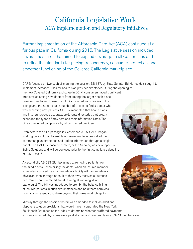## California Legislative Work: ACA Implementation and Regulatory Initiatives

Further implementation of the Affordable Care Act (ACA) continued at a furious pace in California during 2015. The Legislative session included several measures that aimed to expand coverage to all Californians and to refine the standards for pricing transparency, consumer protection, and smoother functioning of the Covered California marketplace.

CAPG focused on two such bills during the session. SB 137, by State Senator Ed Hernandez, sought to implement increased rules for health plan provider directories. During the opening of

the new Covered California exchange in 2014, consumers faced significant problems selecting new doctors from among the larger health plans' provider directories. These roadblocks included inaccuracies in the listings and the need to call a number of offices to find a doctor who was accepting new patients. SB 137 mandated that health plans and insurers produce accurate, up-to-date directories that greatly expanded the types of providers and their information listed. The bill also required compliance by all contracted providers.

Even before the bill's passage in September 2015, CAPG began working on a solution to enable our members to access all of their contracted plan directories and update information through a single portal. The CAPG-sponsored system, called Sanator, was developed by Gaine Solutions and will be deployed prior to the first compliance deadline of July 1, 2016.

A second bill, AB 533 (Bonta), aimed at removing patients from the middle of "surprise billing" incidents, when an insured member schedules a procedure at an in-network facility with an in-network physician, then, through no fault of their own, receives a "surprise bill" from a non-contracted anesthesiologist, radiologist, or pathologist. The bill was introduced to prohibit the balance billing of insured patients in such circumstances and hold them harmless from any increased cost share beyond their in-network obligation.





Midway through the session, the bill was amended to include additional dispute resolution provisions that would have incorporated the New York Fair Health Database as the index to determine whether proffered payments to non-contracted physicians were paid at a fair and reasonable rate. CAPG members are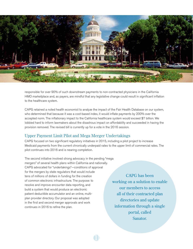

responsible for over 90% of such downstream payments to non-contracted physicians in the California HMO marketplace and, as payers, are mindful that any legislative change could result in significant inflation to the healthcare system.

CAPG retained a noted health economist to analyze the impact of the Fair Health Database on our system, who determined that because it was a cost-based index, it would inflate payments by 200% over the accepted norm. The inflationary impact to the California healthcare system would exceed \$7 billion. We lobbied hard to inform lawmakers about the disastrous impact on affordability and succeeded in having the provision removed. The revised bill is currently up for a vote in the 2016 session.

### Upper Payment Limit Pilot and Mega Merger Undertakings

CAPG focused on two significant regulatory initiatives in 2015, including a pilot project to increase Medicaid payments from the current chronically underpaid rates to the upper limit of commercial rates. The pilot continues into 2016 and is nearing completion.

The second initiative involved strong advocacy in the pending "mega mergers" of several health plans within California and nationally. CAPG advocated for "undertakings"—conditions of approval for the mergers by state regulators that would include tens of millions of dollars in funding for the creation of common electronic infrastructure. The purpose: to resolve and improve encounter data reporting, and build a system that would produce an electronic patient deductible accumulator and an online, multiplan provider directory. Our proposal was adopted in the first and second merger approvals and work continues in 2016 to refine the plan.

CAPG has been working on a solution to enable our members to access all of their contracted plan directories and update information through a single portal, called Sanator.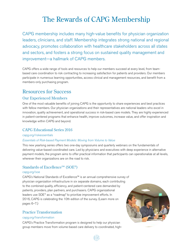## The Rewards of CAPG Membership

CAPG membership includes many high-value benefits for physician organization leaders, clinicians, and staff. Membership integrates strong national and regional advocacy, promotes collaboration with healthcare stakeholders across all states and sectors, and fosters a strong focus on sustained quality management and improvement—a hallmark of CAPG members.

CAPG offers a wide range of tools and resources to help our members succeed at every level, from teambased care coordination to risk contracting to increasing satisfaction for patients and providers. Our members participate in numerous learning opportunities, access clinical and management resources, and benefit from a members-only purchasing program.

### Resources for Success

### Our Experienced Members

One of the most valuable benefits of joining CAPG is the opportunity to share experiences and best practices with fellow members. Our physician organizations and their representatives are national leaders who excel in innovation, quality achievement, and operational success in risk-based care models. They are highly experienced in patient-centered programs that enhance health, improve outcomes, increase value, and offer inspiration and knowledge within CAPG and beyond.

### CAPG Educational Series 2016

### capg.org/riskessentials

### Essentials of Risk-based Payment Models: Moving from Volume to Value

This new yearlong series offers two one-day symposiums and quarterly webinars on the fundamentals of delivering value-based coordinated care. Led by physicians and executives with deep experience in alternative payment models, the program aims to offer practical information that participants can operationalize at all levels, wherever their organizations are on the road to risk.

12

### Standards of Excellence™ (SOE®)

### capg.org/soe

CAPG's National Standards of Excellence™ is an annual comprehensive survey of physician organization infrastructure in six separate domains, each contributing to the combined quality, efficiency, and patient-centered care demanded by patients, providers, plan partners, and purchasers. CAPG organizational leaders use SOE® as a "roadmap" to prioritize improvement efforts. In 2016, CAPG is celebrating the 10th edition of the survey. (Learn more on pages 6–7.)

### Practice Transformation

### capg.org/transformation

CAPG's Practice Transformation program is designed to help our physician group members move from volume-based care delivery to coordinated, high-

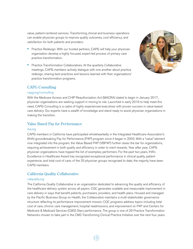value, patient-centered services. Transforming clinical and business operations can enable physician groups to improve quality outcomes, cost efficiency, and satisfaction for both patients and providers.

- **•** Practice Redesign. With our trusted partners, CAPG will help your physician organization develop a highly focused, expert-led process of primary care practice transformation.
- **•** Practice Transformation Collaboratives. At the quarterly Collaborative meetings, CAPG members actively dialogue with one another about practice redesign, sharing best practices and lessons learned with their organizations' practice transformation programs.



### CAPG Consulting

### capg.org/consulting

With the Medicare Access and CHIP Reauthorization Act (MACRA) slated to begin in January 2017, physician organizations are seeking support in moving to risk. Launched in early 2016 to help meet this need, CAPG Consulting is a cadre of highly experienced executives with proven success in value-based care delivery. Our experts have a wealth of knowledge and stand ready to assist physician organizations in making the transition.

### Value Based Pay for Performance

### iha.org

CAPG members in California have participated wholeheartedly in the Integrated Healthcare Association's (IHA) groundbreaking Pay for Performance (P4P) program since it began in 2003. With a "value" element now integrated into the program, the Value Based P4P (VBP4P) further raises the bar for organizations, requiring achievement in both quality and efficiency in order to merit rewards. Year after year, CAPG physician organizations have topped the list of exemplary performers. For the past two years, IHA's Excellence in Healthcare Award has recognized exceptional performance in clinical quality, patient experience, and total cost of care; of the 33 physician groups recognized to date, the majority have been CAPG members.

### California Quality Collaborative

### calquality.org

The California Quality Collaborative is an organization dedicated to advancing the quality and efficiency of the healthcare delivery system across all payers. CQC generates scalable and measurable improvement in care delivery in ways that benefit patients, purchasers, providers, and health plans. Housed and managed by the Pacific Business Group on Health, the Collaborative maintains a multi-stakeholder governance structure reflecting its performance improvement mission. CQC programs address topics including total cost of care, chronic care management, hospital readmissions, and improvement on P4P and Centers for Medicare & Medicaid Services (CMS) Stars performance. The group is one of 29 Practice Transformation Networks chosen to take part in the CMS Transforming Clinical Practice Initiative over the next four years.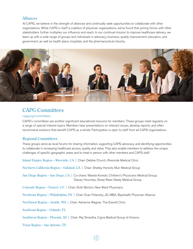### Alliances

At CAPG, we believe in the strength of alliances and continually seek opportunities to collaborate with other organizations. While CAPG is itself a coalition of physician organizations, we've found that joining forces with other stakeholders further multiplies our influence and reach. In our continual mission to improve healthcare delivery, we team up with a wide range of groups and individuals in advocacy, business, quality improvement, education, and government, as well as health plans, hospitals, and the pharmaceutical industry.



### CAPG Committees

### capg.org/committees

CAPG's committees are another significant educational resource for members. These groups meet regularly on a range of special interest topics. Members hear presentations on relevant issues, develop reports, and often recommend solutions that benefit CAPG as a whole. Participation is open to staff from all CAPG organizations.

### Regional Committees

These groups serve as local forums for sharing information, supporting CAPG advocacy, and identifying opportunities to collaborate in increasing healthcare access, quality, and value. They also enable members to address the unique challenges of specific geographic areas and to meet in person with other members and CAPG staff.

Inland Empire Region – Riverside, CA | Chair: Debbie Church, Riverside Medical Clinic

Northern California Region – Oakland, CA | Chair: Shelley Horwitz, Muir Medical Group

San Diego Region – San Diego, CA | Co-chairs: Wanda Koreski, Children's Physicians Medical Group; Stacey Hrountas, Sharp Rees-Stealy Medical Group

Colorado Region – Denver, CO | Chair: Ruth Benton, New West Physicians

Northeast Region – Philadelphia, PA | Chair: Evan Polansky, JD, MBA, Bayhealth Physician Alliance

Northwest Region – Seattle, WA | Chair: Adrianne Wagner, The Everett Clinic

Southeast Region – Orlando, FL

Southwest Region – Phoenix, AZ | Chair: Raj Shrestha, Cigna Medical Group of Arizona

Texas Region – San Antonio, TX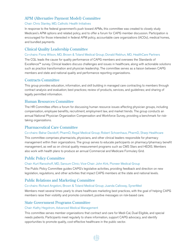### APM (Alternative Payment Model) Committee

### Chair: Chris Stanley, MD, Catholic Health Initiatives

In response to the federal government's push toward APMs, this committee was created to closely study Medicare's APM options and related policy, and to offer a forum for CAPG member discussion. Participation is encouraged for those interested in federal APM policy, accountable care organizations (ACOs), medical homes, and bundled payments.

### Clinical Quality Leadership Committee

### Co-chairs: Fiona Wilson, MD, Brown & Toland Medical Group; Donald Rebhun, MD, HealthCare Partners

The CQL leads the cause for quality performance of CAPG members and oversees the Standards of Excellence™ survey. Clinical leaders discuss challenges and issues in healthcare, along with actionable solutions such as practice transformation and physician leadership. The committee serves as a liaison between CAPG members and state and national quality and performance reporting organizations.

### Contracts Committee

This group provides education, information, and skill building in managed care contracting to members through contract analysis and evaluation; best practices; review of products, services, and guidelines; and sharing of legally permitted information.

### Human Resources Committee

The HR Committee offers a forum for discussing human resource issues affecting physician groups, including compensation, employee benefits, recruitment, employment law, and market trends. The group conducts an annual National Physician Organization Compensation and Workforce Survey, providing a benchmark for risktaking organizations.

### Pharmaceutical Care Committee

### Co-chairs: Bahar Davidoff, PharmD, Regal Medical Group; Robert Schoenhaus, PharmD, Sharp Healthcare

This committee comprises pharmacists, physicians, and other clinical leaders responsible for pharmacy management within their organizations. The group serves to educate participants on pharmacy/pharmacy benefit management, as well as on clinical quality measurement programs such as CMS Stars and HEDIS. Members also work with health plans to produce an annual Commercial and Medicare Formulary Grid.

### Public Policy Committee

### Chair: Kurt Ransohoff, MD, Sansum Clinic; Vice-Chair: John Kirk, Pioneer Medical Group

The Public Policy Committee guides CAPG's legislative activities, providing feedback and direction on new legislation, regulations, and other activities that impact CAPG members at the state and national levels.

### Public Relations and Marketing Committee

### Co-chairs: Richard Angeloni, Brown & Toland Medical Group; Juanda Calloway, SynerMed

Members meet several times yearly to share healthcare marketing best practices, with the goal of helping CAPG members raise their visibility and promote consistent, positive messages on risk-based care.

### State Government Programs Committee

### Chair: Kathy Hegstrom, Advanced Medical Management

This committee serves member organizations that contract and care for Medi-Cal, Dual Eligible, and special needs patients. Participants meet regularly to share information, support CAPG advocacy, and identify opportunities to promote quality, cost-effective healthcare in the public sector.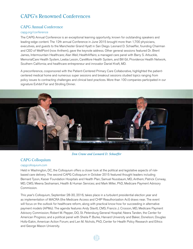### CAPG's Renowned Conferences

### CAPG Annual Conference

### capg.org/conference

The CAPG Annual Conference is an exceptional learning opportunity, known for outstanding speakers and leading-edge content. The 12th annual Conference in June 2015 brought more than 1,700 physicians, executives, and guests to the Manchester Grand Hyatt in San Diego. Leonard D. Schaeffer, founding Chairman and CEO of WellPoint (now Anthem), gave the keynote address. Other general sessions featured Dr. Brent James, Intermountain Healthcare; Alan Weil; HealthAffairs; a managed care panel with Barry S. Arbuckle, MemorialCare Health System, Leeba Lessin, CareMore Health System, and Bill Gil, Providence Health Network, Southern California; and healthcare entrepreneur and innovator Daniel Kraft, MD.

A preconference, cosponsored with the Patient-Centered Primary Care Collaborative, highlighted the patientcentered medical home and numerous super sessions and breakout sessions studied topics ranging from policy issues to contracting challenges and clinical best practices. More than 100 companies participated in our signature Exhibit Fair and Strolling Dinner.



*Don Crane and Leonard D. Schaeffer*

### CAPG Colloquium

### capgcolloquium.com

Held in Washington, DC, the Colloquium offers a closer look at the political and legislative aspects of riskbased care delivery. The second CAPG Colloquium in October 2015 featured thought leaders including Bernard Tyson, Kaiser Foundation Hospitals and Health Plan; Samuel Nussbaum, MD, Anthem; Patrick Conway, MD, CMS; Meena Seshamani, Health & Human Services; and Mark Miller, PhD, Medicare Payment Advisory Commission.

This year's Colloquium, September 28-30, 2016, takes place in a turbulent presidential election year and as implementation of MACRA (the Medicare Access and CHIP Reauthorization Act) draws near. The event will focus on the outlook for healthcare reform, along with practical know-how for succeeding in alternative payment models (APMs). The agenda features Andy Slavitt, CMS; Francis J. Crosson, MD, Medicare Payment Advisory Commission; Robert M. Pepper, DO, St. Petersburg General Hospital; Neera Tanden, the Center for American Progress; and a political panel with Sheila P. Burke, Harvard University and Baker, Donelson; Douglas Holtz-Eakin, American Action Forum; and Len M. Nichols, PhD, Center for Health Policy Research and Ethics and George Mason University.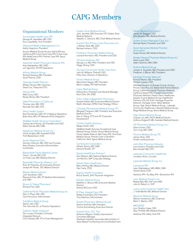## CAPG Members

### Organizational Members

Accountable Health Care IPA George M. Jayatilaka, MD, CEO Druvi Jayatilaka, Vice President

#### Advanced Medical Management, Inc. Kathy Hegstrom, President

Access Medical Group/Access Santa Monica; California IPA; Community Care IPA; Future Care IPA; MediChoice IPA; Premier Care IPA; Seoul Medical Group

Adventist Health Physicians Network IPA Arby Nahapetian, MD, CMO Jim Agronick, VP, IPA Operations

Affinity Medical Group Richard Sankary, MD, President Scott Ptacnik, COO

Alameda Health Partners William Peruzzi, MD, Chairman David Cox, Treasurer/CFO

AllCare IPA\* Matt Coury, CEO Randy Winter, MD, President

## Allied Physicians of California Thomas Lam, MD, CEO Kenneth Sim, MD, CFO

Allina Health System Rod Christensen, MD, VP of Medical Operations Brian Rice, MD, VP Network/ACO Integration

#### AltaMed Health Services Corporation\* Castulo de la Rocha, JD, President and CEO Martin Serota, MD, CMO

AppleCare Medical Group, Inc.\* Vinod Jivrajka, MD, President/CEO Trish Baesemann, COO

#### Austin Regional Clinic Norman Chenven, MD, CEO and Founder Kerry Rosker, Executive Administrative Coordinator

Bakersfield Family Medical Center Carol L. Sorrell, RN, COO Ju Hwan Lee, MD, Medical Director

Bayhealth Physician Alliance, LLC Evan W. Polansky, JD, Executive Director Joseph M. Parise, DO, Medical Director

Beaver Medical Group<sup>\*</sup> John Goodman, CEO Raymond Chan, MD, VP, Medical Administration and CMO

Brown & Toland Physicians\* Richard Fish, CEO

California Pacific Physicians Medical Group, Inc. Dien V. Pham, MD, CEO Carol Houchins, Administrator

CareMore Medical Group Sachin Jain, CEO Tom Tancredi, Dir. of Practice Operations

### Catholic Health Initiatives\* Don Lovasz, President, Clinically Integrated Network Chris Stanley, MD, VP of Care Management

Cedars-Sinai Medical Group\* John Jenrette, MD, Executive VP, Cedars-Sinai

Medical Network Stephen C. Deutsch, MD, Chief Medical Director

Central Ohio Primary Care Physicians, Inc. J. William Wulf, MD, CEO Michael Ashanin, COO

Children's Physicians Medical Group Leonard Kornreich, MD, President and CEO

Chinese American IPA George Liu, MD, PhD, President and CEO Peggy Sheng, COO

Chinese Community Health Care Assn. John M. Williams, PharmD, CEO Polly Chen, Director of Operations

Choice Medical Group Manmohan Nayyar, MD, President Marie Langley, IPA Administrator

Cigna Medical Group Edward Kim, President and General Manager Kevin Ellis, DO, CMO

Citrus Valley Independent Physicians Gurjeet Kalkat, MD, Executive Medical Director Martin Kleinbart, DPM, Chief Strategy Officer

Colorado Permanente Medical Group, P.C. Margaret Ferguson, MD, President and Executive Medical Director Dan A. Oberg, CFO and VP Corporate Development

### Conifer Health Solutions Megan North, CEO AltaMed Health Services; Exceptional Care Medical Group; Family Choice Medical Group; Family Health Alliance; Mid Cities IPA; OmniCare Medical Group; Premier Care of Northern California; Saint Agnes Medical Group

Continucare Corporation Alfredo Ginory, MD, CMO Gemma Rosello, VP

Davita HealthCare Partners\* Don Rebhun, MD, National Medical Director Jim Rechtin, SVP Corporate Strategy

Desert Oasis Healthcare Marc Hoffing, MD, Medical Director Dan Frank, COO

Dignity Health Foundation Bruce Swartz, SVP, Physician Integration

Edinger Medical Group Matthew C. Boone, MD, Executive Medical Director Denise McCourt, COO

El Paso Integral Care, IPA Rafael Armendariz, DO, President Tony Martinez, Administrator

Empire Physicians Medical Group\* Steven Dorfman, MD, President Yvonne Sonnenberg, Executive Director

Everett Clinic, P.S., The\* Adrianne Wagner, Quality Improvement Consultant Manager Shashank Kalokhe, Associate Administrator of Value-Based Contracting and Coordinated Care Facey Medical Foundation\* James M. Slaggert, CEO Erik Davydov, MD, Medical Director

Golden Empire Managed Care, Inc.\* Michael Myers, President and CEO

Good Samaritan Medical Practice Association Nupar Kumar, MD, Medical Director

Greater Newport Physicians Medical Group, Inc.\* Diane Laird, CEO Adam Solomon, MD, CMO

Guthrie Medical Group Joseph A. Scopelliti, MD, President and CEO Frederick J. Bloom, MD, President

Heritage Provider Network\* Richard Merkin, MD, President Richard Lipeles, COO

Affiliated Doctors of Orange County; Arizona Priority Care Plus, AZ; Bakersfield Family Medical Group; California Coastal Physician Network; California Desert IPA; Coastal Communities Physician Network; Desert Oasis Healthcare; Greater Covina Medical Group; HealthCare Partners, IPA, AZ & NY; Heritage Physician Network; Heritage Victor Valley Medical Group; High Desert Medical Group; Lakeside Community Healthcare; Lakeside Medical Group; Regal Medical Group; Sierra Medical Group

High Desert Medical Group Charles Lim, MD, FACP, Medical Director Anthony Dulgeroff, MD, Assistant Medical Director

Hill Physicians Medical Group, Inc.\* David Joyner, CEO Tom Long, MD, CMO

Horizon Medical Group, PC James Olver, CEO Kristen vanDuynhoven

John Muir Physician Network Lee Huskins, President and CAO Ravi Hundal, MD, CFO

Lakeside Community Healthcare Jonathan Gluck, Counsel

Lakeside Medical Group, Inc.

Lakewood IPA Jean Shahdadpuri, MD, MBA, CMO Varsha Desai, COO

Alamitos IPA • St. Mary IPA • Brookshire IPA

Leon Medical Centers, Inc. Rafael Mas, MD, SVP and CMO Julio G. Rebull, Jr., SVP

Loma Linda University Health Care J. Todd Martell, MD, Medical Director

Maverick Medical Group Warren Hosseinion, MD, Chairman Mark C. Marten, CEO

MED3000 Lynn Stratton Haas, CEO Gary Proffett, MD, Medical Director SeaView IPA; Valley Care IPA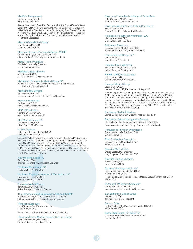#### MedPoint Management Kimberly Carey, President

Rick Powell, MD, CMO

Accountable Health Care IPA • Bella Vista Medical Group IPA • Centinela Valley IPA • El Proyecto Del Barrio, Inc. • Global Care Medical Group IPA • HealthCare LA IPA • Jewish Home for the Aging IPA • Pioneer Provider Network, A Medical Group, Inc. • Premier Physicians Network • Prospect Medical Group, Inc. • Redwood Community Health Network • Watts Healthcare Corporation

MemorialCare Medical Group\* Mark Schafer, MD, CEO Jennifer Jackman, COO

### Memorial Hermann Physician Network - MHMD Christopher Lloyd, Executive VP and CEO Shawn Griffin, Chief Quality and Informatics Officer

Mercy Health Physicians Randall Curnow, MD, President Michele Montague, COO

Meritage Medical Network Wojtek Nowak, CEO J. David Andrew, MD, Medical Director

Mid-Atlantic Permanente Medical Group, PC Bernadette Loftus, MD, Associate Executive Director for MAS Jessica Locke, Special Assistant

Molina Medical Centers\* Keith Wilson, MD, CMO Gloria Calderon, Vice President of Clinic Operations

Monarch HealthCare\* Bart Asner, MD, CEO Ray Chicoine, President and COO

MSO of Puerto Rico Richard Shinto, MD, CEO Raul Montalvo, MD, President

Muir Medical Group, IPA Ute Burness, RN, CEO Steve Kaplan, MD, President

### NAMM California\*

Leigh Hutchins, President and COO Verni Jogaratnam, MD, CMO

Coachella Valley Physicians of PrimeCare; Mercy Physicians Medical Group; Primary Care Associated Medical Group; PrimeCare Medical Group of Chino; PrimeCare Medical Network; PrimeCare of Citrus Valley; PrimeCare of Corona; PrimeCare of Hemet Valley; PrimeCare of Inland Valley; PrimeCare of Moreno Valley; PrimeCare of Redlands; PrimeCare of Riverside; PrimeCare of San Bernardino; PrimeCare of Sun City; PrimeCare of Temecula; Redlands Family Practice Medical Group

New West Physicians, PC Ruth Benton, CEO Thomas M. Jeffers, MD, President and Chair

Northwest Permanente, P.C. Harry Stathos, VP and CFO

Northwest Physicians Network of Washington, LLC Rick MacCornack, PhD, CEO Scott Kronlund, MD, CMO

Omnicare Medical Group Toni Chavis, MD, President Ashok Raheja, MD, Medical Director

The Permanente Medical Group, Inc. Oakland (North)\* Michelle Caughey, MD, Associate Executive Director Suketu Sanghvi, MD, Associate Executive Director

Physicians DataTrust Kathi Toliver, VP of IPA Administration Lisa Serratore, COO

Greater Tri-Cities IPA • Noble AMA IPA • St. Vincent IPA

Physicians Choice Medical Group of San Luis Obispo John Okerblom, MD, President Barbara Cheever, Executive Director

Physicians Choice Medical Group of Santa Maria John Okerblom, MD, President Barbara Cheever, Executive Director

Physicians Medical Group of Santa Cruz County Marvin Labrie, CEO Nancy Greenstreet, MD, Medical Director

Physicians of Southwest Washington, LLC Melanie Matthews, CEO

Gary R. Goin, MD, President PIH Health Physicians Rosalio J. Lopez, MD, SVP and CMO Ramona Pratt, RN, COO, Group Operations

Pioneer Medical Group, Inc.\* John Kirk, CEO Jerry Floro, MD, President

Preferred IPA of California Mark Amico, MD, Medical Director Zahra Movaghar, Administrator

### ProHEALTH Care Associates

David Cooper, MD Walter LeStrange, EVP and COO

### Prospect Medical Group\*

Jason Barker, CEO Jeereddi Prasad, MD, President and Acting CMO

AMVI/Prospect Medical Group; Genesis Healthcare of Southern California, A Medical Group; Nuestra Familia Medical Group; Pomona Valley Medical Group; Prospect HealthSource Medical Group; Prospect NWOC Medical Group; Prospect Professional Care Medical Group; Prospect Provider Group RI, LLC; Prospect Provider Group CT - ECHN, LLC; Prospect Provider Group CT - Waterbury, LLC; Prospect Provider Group NJ, LLC; Prospect Health Services TX; StarCare Medical Group

Providence Health & Services James M. Slaggert, Chief Executive Medical Foundation

Providence Medical Management Services Phil Jackson, Chief Integration and Transformation Officer Korean American Medical Group; Providence Care Network

Renaissance Physician Organization Clare Hawkins, MD, IPA Board Chair Whitney Horak, VP

River City Medical Group, Inc. Keith Andrews, MD, Medical Director Kendrick T. Que, COO

Riverside Medical Clinic Steven Larson, MD, Chairman Judy Carpenter, President and COO

Riverside Physician Network Howard Saner, CEO Paul Snowden, COO

St. Joseph Heritage Healthcare\* Kevin Manemann, President and CEO

Khaliq Siddiq, MD, CMO Hoag Medical Group; Mission Heritage Medical Group; St. Mary High Desert Medical Group

St. Vincent IPA Medical Corporation Jeffrey Hendel, MD, President Leesa Johnson, Director of IPA Operations

San Bernardino Medical Group James Malin, CEO Thomas Hellwig, MD, President

Sansum Clinic\* Kurt Ransohoff, MD, President and Medical Director Vince Jensen, COO

Santa Clara County IPA (SCCIPA)\* J. Kersten Kraft, MD, President of the Board Lori Vatcher, CEO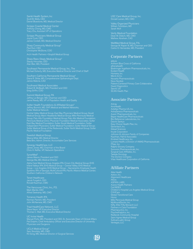Santé Health System, Inc Scott B. Wells, CEO Daniel Bluestone, MD, Medical Director

Anthony Chong, MD, CMO Tracy Chu, Assistant VP of Operations

Scripps Physicians Medical Group Joyce Cook, CEO James Cordell, MD, Medical Director

Sharp Community Medical Group\* Paul Durr, CEO Christopher McGlone, COO

Sharp Rees-Stealy Medical Group\* Stacey Hrountas, CEO Alan Bier, MD, President

Southeast Permanente Medical Group, Inc., The Michael Doherty, MD, Executive Medical Director and Chief of Staff

Southern California Permanente Medical Group\* Diana R. Shiba, MD, Comprehensive Opthamologist Dept. James Malone, CAO

Southwest Medical Associates Robert B. McBeath, MD, President and CEO Greg Griffin, COO

Summit Medical Group, PA Jeffrey Le Benger, MD, Chairman and CEO Jamie Reedy, MD, VP of Population Health and Quality

Sutter Health Foundations & Affiliated Groups\* Jeffrey Burnich, MD, SVP, Medical and Market Networks, Sutter Medical Network

Central Valley Medical Group; East Bay Physicians Medical Group; Gould<br>Medical Group; Marin Headlands Medical Group; Mills-Peninsula Medical<br>Group; Palo Alto Foundation Medical Group; Mills-Peninsula Medical<br>Group; Palo Al

Swedish Medical Group Meena Mital, MD, Medical Director Bela Biro, Admin. Director, Accountable Care Services

Synergy HealthCare, LLC James Jones, MD, Chairman of the Board Chris H. Keffer, VP, Network Operations

SynerMed\* James Mason, President and CEO George Ma, MD, Medical Director

Alpha Care Medical Group; Angeles IPA; Crown City Medical Group; EHS<br>Inland Valleys IPA; EHS Medical Group – Central Valley; EHS Medical<br>Group – Los Angeles; EHS Medical Group – Sacramento; Employee Health<br>Systems; IPA of

Tenet Healthcare Jacob Furgatch, CEO Ronald Kaufman, CMO

The Vancouver Clinic, Inc., P.S. Mark Mantei, CEO Alfred Seekamp, MD, CMO

Torrance Health IPA Norman Panitch, MD, President John McNamara, MD, CMO

Steve Neorr, VP, Executive Director Thomas C. Wall, MD, Executive Medical Director

UC Irvine Health Manuel Porto, MD, President and CEO, Sr. Associate Dean of Clinical Affairs Pat Dolphin, Chief Ambulatory Officer and Executive Director of University Physicians and Surgeons

19

UCLA Medical Group\* Sam Skootsky, MD, CMO Kit Song, MD, Medical Director of Surgical Services

USC Care Medical Group, Inc. Donald Larsen, MD, CMO

Valley Organized Physicians William Torkildsen, MD Sarah Wolf

Verity Medical Foundation Dean M. Didech, MD, CMO Mathew Abraham, CAO

George M. Rapier III, MD, Chairman and CEO Carlos O. Hernandez, MD, President

### Corporate Partners

abbvie Anthem Blue Cross of California athenahealth Boehringer Ingelheim Pharmaceuticals, Inc. Evolent Health Humana, Inc. Merck & Co. Novartis Pharmaceuticals Novo Nordisk Patient-Centered Primary Care Collaborative Quest Diagnostics Sanofi, US SCAN Health Plan

### Associate Partners

Arkray<br>AroHealth<br>Astellas Pharma US, Inc.<br>AstraZeneca Pharmaceuticals<br>Avanir Pharmaceuticals, Inc.<br>Bayer HealthCare Pharmaceuticals<br>Daiichi Sankyo<br>Daiichi Sankyo<br>Easy Choice Health Plan, Inc. Genentech, Inc. Gilead Sciences Incyte Corporation Johnson & Johnson Family of Companies Kaufman, Hall & Associates Kindred Healthcare, Inc. Lumara Health, a Division of AMAG Pharmaceuticals Pfizer, Inc. Ralphs Grocery Company Sunovion Pharmaceuticals, Inc. Surgical Care Affiliates, Inc. Takeda Oncology The Doctors Company Vitas Healthcare Corporation of California

### Affiliate Partners

Able Health Aetion, Inc. Alignment Healthcare Altura ASPiRA LABS Axene Health Partners Cal INDEX Children's Hospital Los Angeles Medical Group CVHCare Global Transitional Care Honor<br>Mills Peninsula Medical Group<br>MiyWoundDoctor, Inc.<br>Nifty After Fifty Monarch LLC<br>Partners in Care Foundation<br>Pharmacyclics, Inc.<br>Redlands Community Hospital<br>Saint Agnes Medical Group<br>SullivanLuallin Group